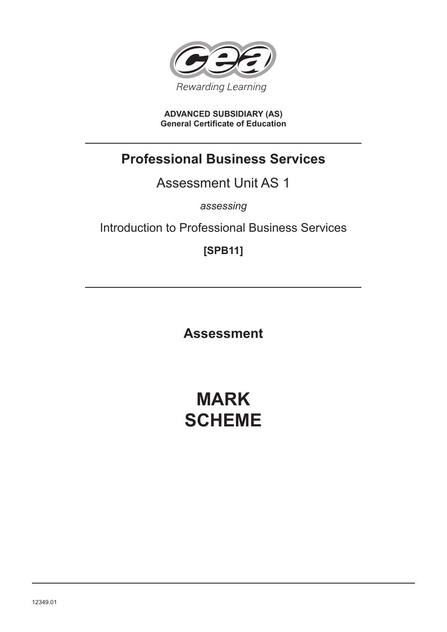

**ADVANCED SUBSIDIARY (AS) General Certificate of Education**

# **Professional Business Services**

# Assessment Unit AS 1

*assessing*

# Introduction to Professional Business Services

**[SPB11]**

**Assessment**

# **MARK SCHEME**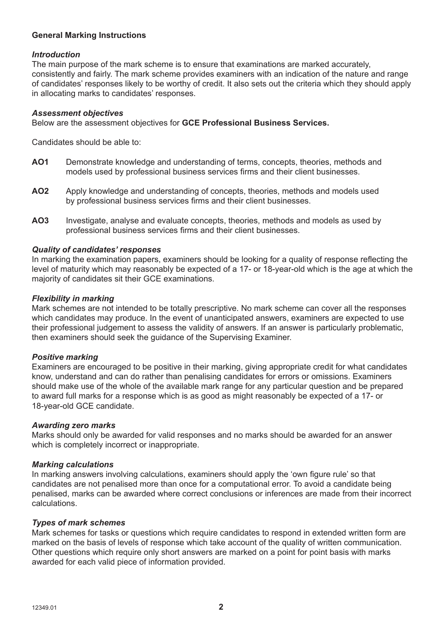## **General Marking Instructions**

#### *Introduction*

The main purpose of the mark scheme is to ensure that examinations are marked accurately, consistently and fairly. The mark scheme provides examiners with an indication of the nature and range of candidates' responses likely to be worthy of credit. It also sets out the criteria which they should apply in allocating marks to candidates' responses.

#### *Assessment objectives*

Below are the assessment objectives for **GCE Professional Business Services.**

Candidates should be able to:

- **AO1** Demonstrate knowledge and understanding of terms, concepts, theories, methods and models used by professional business services firms and their client businesses.
- **AO2** Apply knowledge and understanding of concepts, theories, methods and models used by professional business services firms and their client businesses.
- **AO3** Investigate, analyse and evaluate concepts, theories, methods and models as used by professional business services firms and their client businesses.

#### *Quality of candidates' responses*

In marking the examination papers, examiners should be looking for a quality of response reflecting the level of maturity which may reasonably be expected of a 17- or 18-year-old which is the age at which the majority of candidates sit their GCE examinations.

#### *Flexibility in marking*

Mark schemes are not intended to be totally prescriptive. No mark scheme can cover all the responses which candidates may produce. In the event of unanticipated answers, examiners are expected to use their professional judgement to assess the validity of answers. If an answer is particularly problematic, then examiners should seek the guidance of the Supervising Examiner.

#### *Positive marking*

Examiners are encouraged to be positive in their marking, giving appropriate credit for what candidates know, understand and can do rather than penalising candidates for errors or omissions. Examiners should make use of the whole of the available mark range for any particular question and be prepared to award full marks for a response which is as good as might reasonably be expected of a 17- or 18-year-old GCE candidate.

#### *Awarding zero marks*

Marks should only be awarded for valid responses and no marks should be awarded for an answer which is completely incorrect or inappropriate.

#### *Marking calculations*

In marking answers involving calculations, examiners should apply the 'own figure rule' so that candidates are not penalised more than once for a computational error. To avoid a candidate being penalised, marks can be awarded where correct conclusions or inferences are made from their incorrect calculations.

#### *Types of mark schemes*

Mark schemes for tasks or questions which require candidates to respond in extended written form are marked on the basis of levels of response which take account of the quality of written communication. Other questions which require only short answers are marked on a point for point basis with marks awarded for each valid piece of information provided.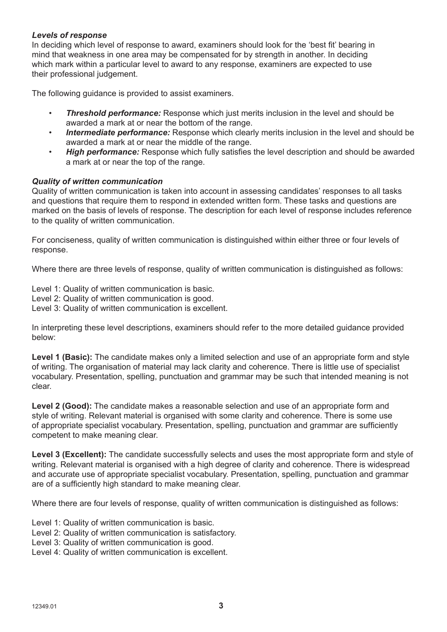## *Levels of response*

In deciding which level of response to award, examiners should look for the 'best fit' bearing in mind that weakness in one area may be compensated for by strength in another. In deciding which mark within a particular level to award to any response, examiners are expected to use their professional judgement.

The following guidance is provided to assist examiners.

- **Threshold performance:** Response which just merits inclusion in the level and should be awarded a mark at or near the bottom of the range.
- *Intermediate performance:* Response which clearly merits inclusion in the level and should be awarded a mark at or near the middle of the range.
- *High performance:* Response which fully satisfies the level description and should be awarded a mark at or near the top of the range.

## *Quality of written communication*

Quality of written communication is taken into account in assessing candidates' responses to all tasks and questions that require them to respond in extended written form. These tasks and questions are marked on the basis of levels of response. The description for each level of response includes reference to the quality of written communication.

For conciseness, quality of written communication is distinguished within either three or four levels of response.

Where there are three levels of response, quality of written communication is distinguished as follows:

Level 1: Quality of written communication is basic.

- Level 2: Quality of written communication is good.
- Level 3: Quality of written communication is excellent.

In interpreting these level descriptions, examiners should refer to the more detailed guidance provided below:

Level 1 (Basic): The candidate makes only a limited selection and use of an appropriate form and style of writing. The organisation of material may lack clarity and coherence. There is little use of specialist vocabulary. Presentation, spelling, punctuation and grammar may be such that intended meaning is not clear.

**Level 2 (Good):** The candidate makes a reasonable selection and use of an appropriate form and style of writing. Relevant material is organised with some clarity and coherence. There is some use of appropriate specialist vocabulary. Presentation, spelling, punctuation and grammar are sufficiently competent to make meaning clear.

**Level 3 (Excellent):** The candidate successfully selects and uses the most appropriate form and style of writing. Relevant material is organised with a high degree of clarity and coherence. There is widespread and accurate use of appropriate specialist vocabulary. Presentation, spelling, punctuation and grammar are of a sufficiently high standard to make meaning clear.

Where there are four levels of response, quality of written communication is distinguished as follows:

Level 1: Quality of written communication is basic.

- Level 2: Quality of written communication is satisfactory.
- Level 3: Quality of written communication is good.
- Level 4: Quality of written communication is excellent.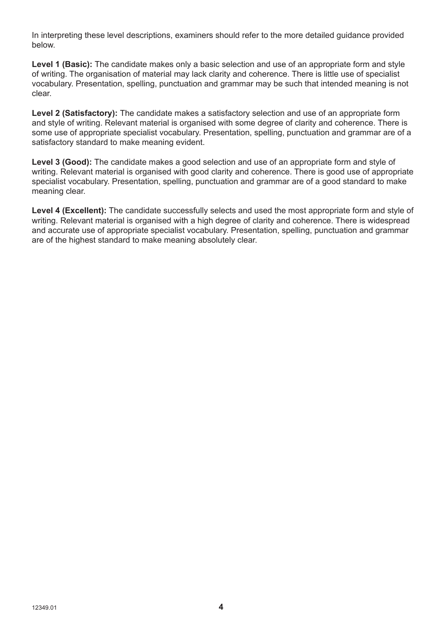In interpreting these level descriptions, examiners should refer to the more detailed guidance provided below.

**Level 1 (Basic):** The candidate makes only a basic selection and use of an appropriate form and style of writing. The organisation of material may lack clarity and coherence. There is little use of specialist vocabulary. Presentation, spelling, punctuation and grammar may be such that intended meaning is not clear.

**Level 2 (Satisfactory):** The candidate makes a satisfactory selection and use of an appropriate form and style of writing. Relevant material is organised with some degree of clarity and coherence. There is some use of appropriate specialist vocabulary. Presentation, spelling, punctuation and grammar are of a satisfactory standard to make meaning evident.

**Level 3 (Good):** The candidate makes a good selection and use of an appropriate form and style of writing. Relevant material is organised with good clarity and coherence. There is good use of appropriate specialist vocabulary. Presentation, spelling, punctuation and grammar are of a good standard to make meaning clear.

Level 4 (Excellent): The candidate successfully selects and used the most appropriate form and style of writing. Relevant material is organised with a high degree of clarity and coherence. There is widespread and accurate use of appropriate specialist vocabulary. Presentation, spelling, punctuation and grammar are of the highest standard to make meaning absolutely clear.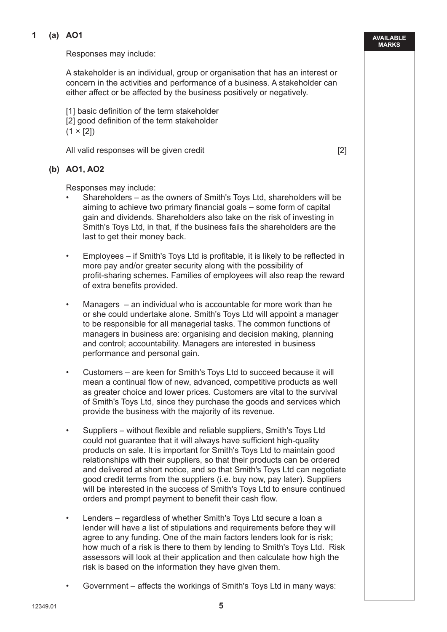## **1 (a) AO1**

Responses may include:

 A stakeholder is an individual, group or organisation that has an interest or concern in the activities and performance of a business. A stakeholder can either affect or be affected by the business positively or negatively.

[1] basic definition of the term stakeholder [2] good definition of the term stakeholder  $(1 \times [2])$ 

All valid responses will be given credit **Example 2** and the set of  $\lceil 2 \rceil$ 

**(b) AO1, AO2**

Responses may include:

- Shareholders as the owners of Smith's Toys Ltd, shareholders will be aiming to achieve two primary financial goals – some form of capital gain and dividends. Shareholders also take on the risk of investing in Smith's Toys Ltd, in that, if the business fails the shareholders are the last to get their money back.
- Employees if Smith's Toys Ltd is profitable, it is likely to be reflected in more pay and/or greater security along with the possibility of profit-sharing schemes. Families of employees will also reap the reward of extra benefits provided.
- Managers  $-$  an individual who is accountable for more work than he or she could undertake alone. Smith's Toys Ltd will appoint a manager to be responsible for all managerial tasks. The common functions of managers in business are: organising and decision making, planning and control; accountability. Managers are interested in business performance and personal gain.
- Customers are keen for Smith's Toys Ltd to succeed because it will mean a continual flow of new, advanced, competitive products as well as greater choice and lower prices. Customers are vital to the survival of Smith's Toys Ltd, since they purchase the goods and services which provide the business with the majority of its revenue.
- Suppliers without flexible and reliable suppliers, Smith's Toys Ltd could not guarantee that it will always have sufficient high-quality products on sale. It is important for Smith's Toys Ltd to maintain good relationships with their suppliers, so that their products can be ordered and delivered at short notice, and so that Smith's Toys Ltd can negotiate good credit terms from the suppliers (i.e. buy now, pay later). Suppliers will be interested in the success of Smith's Toys Ltd to ensure continued orders and prompt payment to benefit their cash flow.
- Lenders regardless of whether Smith's Toys Ltd secure a loan a lender will have a list of stipulations and requirements before they will agree to any funding. One of the main factors lenders look for is risk; how much of a risk is there to them by lending to Smith's Toys Ltd. Risk assessors will look at their application and then calculate how high the risk is based on the information they have given them.
- Government affects the workings of Smith's Toys Ltd in many ways:

**AVAILABLE MARKS**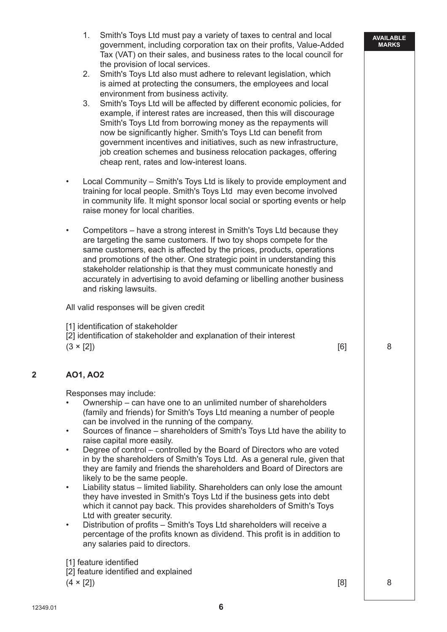- 1. Smith's Toys Ltd must pay a variety of taxes to central and local government, including corporation tax on their profits, Value-Added Tax (VAT) on their sales, and business rates to the local council for the provision of local services.
- 2. Smith's Toys Ltd also must adhere to relevant legislation, which is aimed at protecting the consumers, the employees and local environment from business activity.
- 3. Smith's Toys Ltd will be affected by different economic policies, for example, if interest rates are increased, then this will discourage Smith's Toys Ltd from borrowing money as the repayments will now be significantly higher. Smith's Toys Ltd can benefit from government incentives and initiatives, such as new infrastructure, job creation schemes and business relocation packages, offering cheap rent, rates and low-interest loans.
- Local Community Smith's Toys Ltd is likely to provide employment and training for local people. Smith's Toys Ltd may even become involved in community life. It might sponsor local social or sporting events or help raise money for local charities.
- Competitors have a strong interest in Smith's Toys Ltd because they are targeting the same customers. If two toy shops compete for the same customers, each is affected by the prices, products, operations and promotions of the other. One strategic point in understanding this stakeholder relationship is that they must communicate honestly and accurately in advertising to avoid defaming or libelling another business and risking lawsuits.

All valid responses will be given credit

[1] identification of stakeholder

[2] identification of stakeholder and explanation of their interest

 $(3 \times [2])$  8

# **2 AO1, AO2**

Responses may include:

- Ownership can have one to an unlimited number of shareholders (family and friends) for Smith's Toys Ltd meaning a number of people can be involved in the running of the company.
- Sources of finance shareholders of Smith's Toys Ltd have the ability to raise capital more easily.
- Degree of control controlled by the Board of Directors who are voted in by the shareholders of Smith's Toys Ltd. As a general rule, given that they are family and friends the shareholders and Board of Directors are likely to be the same people.
- Liability status limited liability. Shareholders can only lose the amount they have invested in Smith's Toys Ltd if the business gets into debt which it cannot pay back. This provides shareholders of Smith's Toys Ltd with greater security.
- Distribution of profits Smith's Toys Ltd shareholders will receive a percentage of the profits known as dividend. This profit is in addition to any salaries paid to directors.

[1] feature identified

[2] feature identified and explained

 $(4 \times [2])$  8

**AVAILABLE MARKS**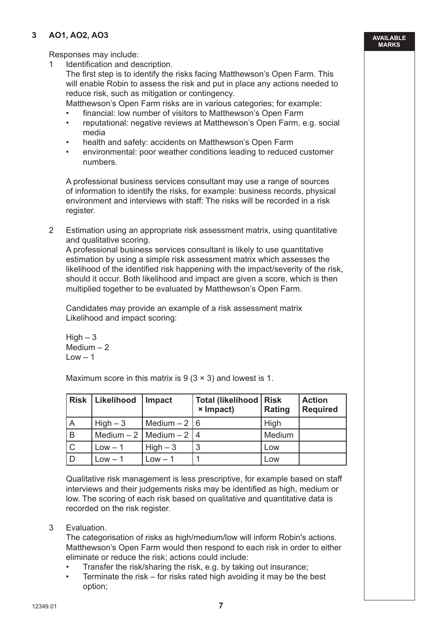# **3 AO1, AO2, AO3**

Responses may include:

1 Identification and description.

 The first step is to identify the risks facing Matthewson's Open Farm. This will enable Robin to assess the risk and put in place any actions needed to reduce risk, such as mitigation or contingency.

Matthewson's Open Farm risks are in various categories; for example:

- financial: low number of visitors to Matthewson's Open Farm
- reputational: negative reviews at Matthewson's Open Farm, e.g. social media
- health and safety: accidents on Matthewson's Open Farm
- environmental: poor weather conditions leading to reduced customer numbers.

 A professional business services consultant may use a range of sources of information to identify the risks, for example: business records, physical environment and interviews with staff: The risks will be recorded in a risk register.

 2 Estimation using an appropriate risk assessment matrix, using quantitative and qualitative scoring.

 A professional business services consultant is likely to use quantitative estimation by using a simple risk assessment matrix which assesses the likelihood of the identified risk happening with the impact/severity of the risk, should it occur. Both likelihood and impact are given a score, which is then multiplied together to be evaluated by Matthewson's Open Farm.

 Candidates may provide an example of a risk assessment matrix Likelihood and impact scoring:

 $High-3$  Medium – 2  $Low - 1$ 

Maximum score in this matrix is  $9(3 \times 3)$  and lowest is 1.

|                | Risk   Likelihood | <b>Impact</b>                 | <b>Total (likelihood   Risk)</b><br><b>×</b> Impact) | Rating | <b>Action</b><br><b>Required</b> |
|----------------|-------------------|-------------------------------|------------------------------------------------------|--------|----------------------------------|
| $\overline{A}$ | $High-3$          | Medium $-2 \mid 6$            |                                                      | High   |                                  |
| B              |                   | Medium $-2$   Medium $-2$   4 |                                                      | Medium |                                  |
| $\mathsf{C}$   | $Low - 1$         | $High-3$                      | 3                                                    | Low    |                                  |
| D              | $Low - 1$         | $Low - 1$                     |                                                      | Low    |                                  |

 Qualitative risk management is less prescriptive, for example based on staff interviews and their judgements risks may be identified as high, medium or low. The scoring of each risk based on qualitative and quantitative data is recorded on the risk register.

3 Evaluation.

 The categorisation of risks as high/medium/low will inform Robin's actions. Matthewson's Open Farm would then respond to each risk in order to either eliminate or reduce the risk; actions could include:

- Transfer the risk/sharing the risk, e.g. by taking out insurance;
- Terminate the risk  $-$  for risks rated high avoiding it may be the best option;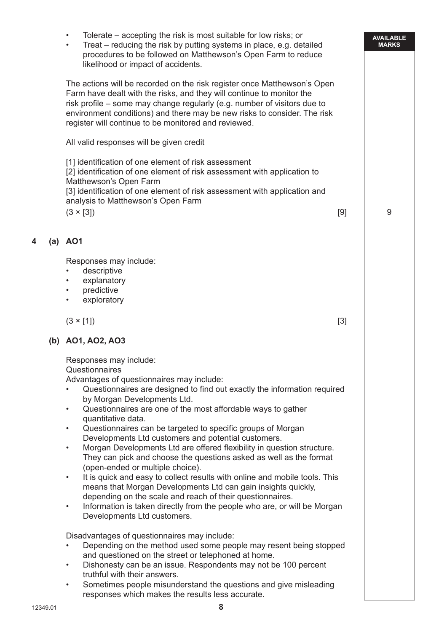**AVAILABLE MARKS** • Tolerate – accepting the risk is most suitable for low risks; or • Treat – reducing the risk by putting systems in place, e.g. detailed procedures to be followed on Matthewson's Open Farm to reduce likelihood or impact of accidents. The actions will be recorded on the risk register once Matthewson's Open Farm have dealt with the risks, and they will continue to monitor the risk profile – some may change regularly (e.g. number of visitors due to environment conditions) and there may be new risks to consider. The risk register will continue to be monitored and reviewed. All valid responses will be given credit [1] identification of one element of risk assessment [2] identification of one element of risk assessment with application to Matthewson's Open Farm [3] identification of one element of risk assessment with application and analysis to Matthewson's Open Farm  $(3 \times [3])$  9 **4 (a) AO1** Responses may include: • descriptive explanatory • predictive exploratory  $(3 \times [1])$  [3] **(b) AO1, AO2, AO3** Responses may include: **Questionnaires**  Advantages of questionnaires may include: • Questionnaires are designed to find out exactly the information required by Morgan Developments Ltd. • Questionnaires are one of the most affordable ways to gather quantitative data. • Questionnaires can be targeted to specific groups of Morgan Developments Ltd customers and potential customers. • Morgan Developments Ltd are offered flexibility in question structure. They can pick and choose the questions asked as well as the format (open-ended or multiple choice). • It is quick and easy to collect results with online and mobile tools. This means that Morgan Developments Ltd can gain insights quickly, depending on the scale and reach of their questionnaires. • Information is taken directly from the people who are, or will be Morgan Developments Ltd customers. Disadvantages of questionnaires may include: • Depending on the method used some people may resent being stopped and questioned on the street or telephoned at home. • Dishonesty can be an issue. Respondents may not be 100 percent truthful with their answers. Sometimes people misunderstand the questions and give misleading responses which makes the results less accurate.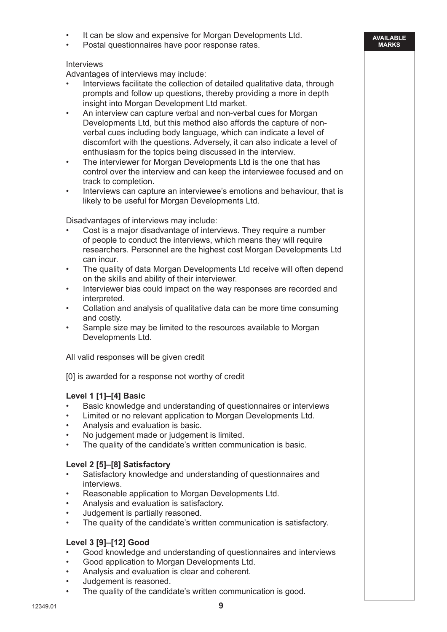- It can be slow and expensive for Morgan Developments Ltd.
- Postal questionnaires have poor response rates.

## Interviews

Advantages of interviews may include:

 • Interviews facilitate the collection of detailed qualitative data, through prompts and follow up questions, thereby providing a more in depth insight into Morgan Development Ltd market.

**AVAILABLE MARKS**

- An interview can capture verbal and non-verbal cues for Morgan Developments Ltd, but this method also affords the capture of nonverbal cues including body language, which can indicate a level of discomfort with the questions. Adversely, it can also indicate a level of enthusiasm for the topics being discussed in the interview.
- The interviewer for Morgan Developments Ltd is the one that has control over the interview and can keep the interviewee focused and on track to completion.
- Interviews can capture an interviewee's emotions and behaviour, that is likely to be useful for Morgan Developments Ltd.

Disadvantages of interviews may include:

- Cost is a major disadvantage of interviews. They require a number of people to conduct the interviews, which means they will require researchers. Personnel are the highest cost Morgan Developments Ltd can incur.
- The quality of data Morgan Developments Ltd receive will often depend on the skills and ability of their interviewer.
- Interviewer bias could impact on the way responses are recorded and interpreted.
- Collation and analysis of qualitative data can be more time consuming and costly.
- Sample size may be limited to the resources available to Morgan Developments Ltd.

All valid responses will be given credit

[0] is awarded for a response not worthy of credit

# **Level 1 [1]–[4] Basic**

- Basic knowledge and understanding of questionnaires or interviews
- Limited or no relevant application to Morgan Developments Ltd.
- Analysis and evaluation is basic.
- No judgement made or judgement is limited.
- The quality of the candidate's written communication is basic.

#### **Level 2 [5]–[8] Satisfactory**

- Satisfactory knowledge and understanding of questionnaires and interviews.
- Reasonable application to Morgan Developments Ltd.
- Analysis and evaluation is satisfactory.
- Judgement is partially reasoned.
- The quality of the candidate's written communication is satisfactory.

#### **Level 3 [9]–[12] Good**

- Good knowledge and understanding of questionnaires and interviews
- Good application to Morgan Developments Ltd.
- Analysis and evaluation is clear and coherent.
- Judgement is reasoned.
- The quality of the candidate's written communication is good.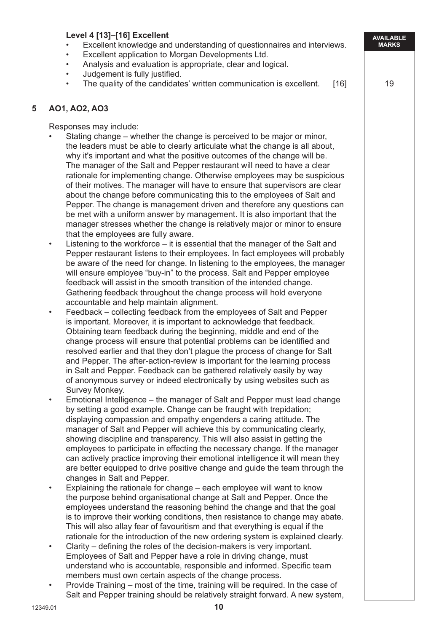|   | Level 4 [13]-[16] Excellent<br>Excellent knowledge and understanding of questionnaires and interviews.<br>Excellent application to Morgan Developments Ltd.<br>٠<br>Analysis and evaluation is appropriate, clear and logical.<br>$\bullet$<br>Judgement is fully justified.<br>$\bullet$<br>The quality of the candidates' written communication is excellent.<br>$[16]$                                                                                                                                                                                                                                                                                                                                                                                                                                                                                                                                                                                                                                                                                                                                                                                                                                                                                                                                                                                                                                                                                                                                                                                                                                                                                                                                                                                                                                                                                                                                                                                                                                                                                                                                                                                                                                                                                                                                                                                                                                                                                                                                                                                                                                                                                                                                                                                                                                                                                                                                                                                                                                                                                                                                                                                                                                                                                                                                                                                                                                                                                                                                                                                                                                                                                                                                                | <b>AVAILABLE</b><br><b>MARKS</b><br>19 |
|---|--------------------------------------------------------------------------------------------------------------------------------------------------------------------------------------------------------------------------------------------------------------------------------------------------------------------------------------------------------------------------------------------------------------------------------------------------------------------------------------------------------------------------------------------------------------------------------------------------------------------------------------------------------------------------------------------------------------------------------------------------------------------------------------------------------------------------------------------------------------------------------------------------------------------------------------------------------------------------------------------------------------------------------------------------------------------------------------------------------------------------------------------------------------------------------------------------------------------------------------------------------------------------------------------------------------------------------------------------------------------------------------------------------------------------------------------------------------------------------------------------------------------------------------------------------------------------------------------------------------------------------------------------------------------------------------------------------------------------------------------------------------------------------------------------------------------------------------------------------------------------------------------------------------------------------------------------------------------------------------------------------------------------------------------------------------------------------------------------------------------------------------------------------------------------------------------------------------------------------------------------------------------------------------------------------------------------------------------------------------------------------------------------------------------------------------------------------------------------------------------------------------------------------------------------------------------------------------------------------------------------------------------------------------------------------------------------------------------------------------------------------------------------------------------------------------------------------------------------------------------------------------------------------------------------------------------------------------------------------------------------------------------------------------------------------------------------------------------------------------------------------------------------------------------------------------------------------------------------------------------------------------------------------------------------------------------------------------------------------------------------------------------------------------------------------------------------------------------------------------------------------------------------------------------------------------------------------------------------------------------------------------------------------------------------------------------------------------------------|----------------------------------------|
| 5 | AO1, AO2, AO3                                                                                                                                                                                                                                                                                                                                                                                                                                                                                                                                                                                                                                                                                                                                                                                                                                                                                                                                                                                                                                                                                                                                                                                                                                                                                                                                                                                                                                                                                                                                                                                                                                                                                                                                                                                                                                                                                                                                                                                                                                                                                                                                                                                                                                                                                                                                                                                                                                                                                                                                                                                                                                                                                                                                                                                                                                                                                                                                                                                                                                                                                                                                                                                                                                                                                                                                                                                                                                                                                                                                                                                                                                                                                                            |                                        |
|   | Responses may include:<br>Stating change – whether the change is perceived to be major or minor,<br>the leaders must be able to clearly articulate what the change is all about,<br>why it's important and what the positive outcomes of the change will be.<br>The manager of the Salt and Pepper restaurant will need to have a clear<br>rationale for implementing change. Otherwise employees may be suspicious<br>of their motives. The manager will have to ensure that supervisors are clear<br>about the change before communicating this to the employees of Salt and<br>Pepper. The change is management driven and therefore any questions can<br>be met with a uniform answer by management. It is also important that the<br>manager stresses whether the change is relatively major or minor to ensure<br>that the employees are fully aware.<br>Listening to the workforce – it is essential that the manager of the Salt and<br>$\bullet$<br>Pepper restaurant listens to their employees. In fact employees will probably<br>be aware of the need for change. In listening to the employees, the manager<br>will ensure employee "buy-in" to the process. Salt and Pepper employee<br>feedback will assist in the smooth transition of the intended change.<br>Gathering feedback throughout the change process will hold everyone<br>accountable and help maintain alignment.<br>Feedback – collecting feedback from the employees of Salt and Pepper<br>$\bullet$<br>is important. Moreover, it is important to acknowledge that feedback.<br>Obtaining team feedback during the beginning, middle and end of the<br>change process will ensure that potential problems can be identified and<br>resolved earlier and that they don't plague the process of change for Salt<br>and Pepper. The after-action-review is important for the learning process<br>in Salt and Pepper. Feedback can be gathered relatively easily by way<br>of anonymous survey or indeed electronically by using websites such as<br>Survey Monkey.<br>Emotional Intelligence – the manager of Salt and Pepper must lead change<br>$\bullet$<br>by setting a good example. Change can be fraught with trepidation;<br>displaying compassion and empathy engenders a caring attitude. The<br>manager of Salt and Pepper will achieve this by communicating clearly,<br>showing discipline and transparency. This will also assist in getting the<br>employees to participate in effecting the necessary change. If the manager<br>can actively practice improving their emotional intelligence it will mean they<br>are better equipped to drive positive change and guide the team through the<br>changes in Salt and Pepper.<br>Explaining the rationale for change – each employee will want to know<br>$\bullet$<br>the purpose behind organisational change at Salt and Pepper. Once the<br>employees understand the reasoning behind the change and that the goal<br>is to improve their working conditions, then resistance to change may abate.<br>This will also allay fear of favouritism and that everything is equal if the<br>rationale for the introduction of the new ordering system is explained clearly.<br>Clarity – defining the roles of the decision-makers is very important.<br>$\bullet$<br>Employees of Salt and Pepper have a role in driving change, must<br>understand who is accountable, responsible and informed. Specific team<br>members must own certain aspects of the change process.<br>Provide Training – most of the time, training will be required. In the case of<br>$\bullet$<br>Salt and Pepper training should be relatively straight forward. A new system,<br>10<br>12349.01 |                                        |
|   |                                                                                                                                                                                                                                                                                                                                                                                                                                                                                                                                                                                                                                                                                                                                                                                                                                                                                                                                                                                                                                                                                                                                                                                                                                                                                                                                                                                                                                                                                                                                                                                                                                                                                                                                                                                                                                                                                                                                                                                                                                                                                                                                                                                                                                                                                                                                                                                                                                                                                                                                                                                                                                                                                                                                                                                                                                                                                                                                                                                                                                                                                                                                                                                                                                                                                                                                                                                                                                                                                                                                                                                                                                                                                                                          |                                        |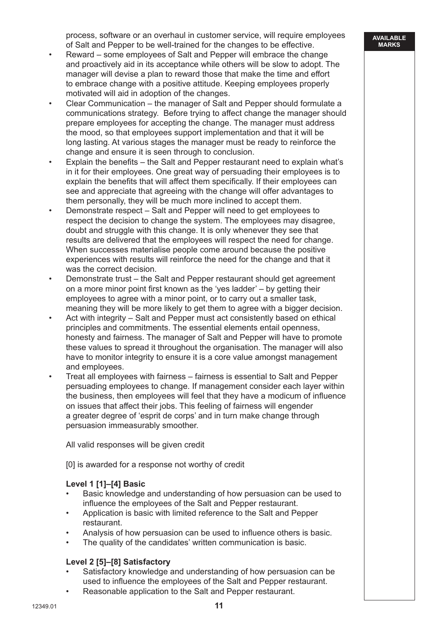process, software or an overhaul in customer service, will require employees of Salt and Pepper to be well-trained for the changes to be effective.

- Reward some employees of Salt and Pepper will embrace the change and proactively aid in its acceptance while others will be slow to adopt. The manager will devise a plan to reward those that make the time and effort to embrace change with a positive attitude. Keeping employees properly motivated will aid in adoption of the changes.
- Clear Communication the manager of Salt and Pepper should formulate a communications strategy. Before trying to affect change the manager should prepare employees for accepting the change. The manager must address the mood, so that employees support implementation and that it will be long lasting. At various stages the manager must be ready to reinforce the change and ensure it is seen through to conclusion.
- Explain the benefits the Salt and Pepper restaurant need to explain what's in it for their employees. One great way of persuading their employees is to explain the benefits that will affect them specifically. If their employees can see and appreciate that agreeing with the change will offer advantages to them personally, they will be much more inclined to accept them.
- Demonstrate respect Salt and Pepper will need to get employees to respect the decision to change the system. The employees may disagree, doubt and struggle with this change. It is only whenever they see that results are delivered that the employees will respect the need for change. When successes materialise people come around because the positive experiences with results will reinforce the need for the change and that it was the correct decision.
- Demonstrate trust the Salt and Pepper restaurant should get agreement on a more minor point first known as the 'yes ladder' – by getting their employees to agree with a minor point, or to carry out a smaller task, meaning they will be more likely to get them to agree with a bigger decision.
- Act with integrity Salt and Pepper must act consistently based on ethical principles and commitments. The essential elements entail openness, honesty and fairness. The manager of Salt and Pepper will have to promote these values to spread it throughout the organisation. The manager will also have to monitor integrity to ensure it is a core value amongst management and employees.
- Treat all employees with fairness fairness is essential to Salt and Pepper persuading employees to change. If management consider each layer within the business, then employees will feel that they have a modicum of influence on issues that affect their jobs. This feeling of fairness will engender a greater degree of 'esprit de corps' and in turn make change through persuasion immeasurably smoother.

All valid responses will be given credit

[0] is awarded for a response not worthy of credit

# **Level 1 [1]–[4] Basic**

- Basic knowledge and understanding of how persuasion can be used to influence the employees of the Salt and Pepper restaurant.
- Application is basic with limited reference to the Salt and Pepper restaurant.
- Analysis of how persuasion can be used to influence others is basic.
- The quality of the candidates' written communication is basic.

# **Level 2 [5]–[8] Satisfactory**

- Satisfactory knowledge and understanding of how persuasion can be used to influence the employees of the Salt and Pepper restaurant.
- Reasonable application to the Salt and Pepper restaurant.

**AVAILABLE MARKS**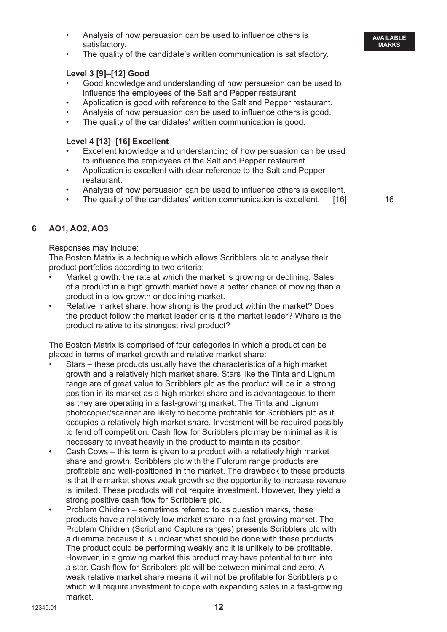|   | Analysis of how persuasion can be used to influence others is<br>satisfactory.<br>The quality of the candidate's written communication is satisfactory.<br>$\bullet$                                                                                                                                                                                                                                                                                                                                                                                                                                                                                                                                                                                                                                                                                                                                                                                                                                                                                                                                                                                                                                                                                                                                                                                                                                                                                                                                                                                                                                                                                                                                                                                                                                                                                                                                                                                                                                                                                                                | <b>AVAILABLE</b><br><b>MARKS</b> |
|---|-------------------------------------------------------------------------------------------------------------------------------------------------------------------------------------------------------------------------------------------------------------------------------------------------------------------------------------------------------------------------------------------------------------------------------------------------------------------------------------------------------------------------------------------------------------------------------------------------------------------------------------------------------------------------------------------------------------------------------------------------------------------------------------------------------------------------------------------------------------------------------------------------------------------------------------------------------------------------------------------------------------------------------------------------------------------------------------------------------------------------------------------------------------------------------------------------------------------------------------------------------------------------------------------------------------------------------------------------------------------------------------------------------------------------------------------------------------------------------------------------------------------------------------------------------------------------------------------------------------------------------------------------------------------------------------------------------------------------------------------------------------------------------------------------------------------------------------------------------------------------------------------------------------------------------------------------------------------------------------------------------------------------------------------------------------------------------------|----------------------------------|
|   | Level 3 [9]-[12] Good<br>Good knowledge and understanding of how persuasion can be used to<br>influence the employees of the Salt and Pepper restaurant.<br>Application is good with reference to the Salt and Pepper restaurant.<br>$\bullet$<br>Analysis of how persuasion can be used to influence others is good.<br>$\bullet$<br>The quality of the candidates' written communication is good.<br>$\bullet$                                                                                                                                                                                                                                                                                                                                                                                                                                                                                                                                                                                                                                                                                                                                                                                                                                                                                                                                                                                                                                                                                                                                                                                                                                                                                                                                                                                                                                                                                                                                                                                                                                                                    |                                  |
|   | Level 4 [13]-[16] Excellent<br>Excellent knowledge and understanding of how persuasion can be used<br>to influence the employees of the Salt and Pepper restaurant.<br>Application is excellent with clear reference to the Salt and Pepper<br>$\bullet$<br>restaurant.<br>Analysis of how persuasion can be used to influence others is excellent.<br>$\bullet$<br>The quality of the candidates' written communication is excellent.<br>[16]<br>$\bullet$                                                                                                                                                                                                                                                                                                                                                                                                                                                                                                                                                                                                                                                                                                                                                                                                                                                                                                                                                                                                                                                                                                                                                                                                                                                                                                                                                                                                                                                                                                                                                                                                                         | 16                               |
| 6 | AO1, AO2, AO3<br>Responses may include:<br>The Boston Matrix is a technique which allows Scribblers plc to analyse their<br>product portfolios according to two criteria:<br>Market growth: the rate at which the market is growing or declining. Sales<br>of a product in a high growth market have a better chance of moving than a                                                                                                                                                                                                                                                                                                                                                                                                                                                                                                                                                                                                                                                                                                                                                                                                                                                                                                                                                                                                                                                                                                                                                                                                                                                                                                                                                                                                                                                                                                                                                                                                                                                                                                                                               |                                  |
|   | product in a low growth or declining market.<br>Relative market share: how strong is the product within the market? Does<br>$\bullet$<br>the product follow the market leader or is it the market leader? Where is the<br>product relative to its strongest rival product?                                                                                                                                                                                                                                                                                                                                                                                                                                                                                                                                                                                                                                                                                                                                                                                                                                                                                                                                                                                                                                                                                                                                                                                                                                                                                                                                                                                                                                                                                                                                                                                                                                                                                                                                                                                                          |                                  |
|   | The Boston Matrix is comprised of four categories in which a product can be<br>placed in terms of market growth and relative market share:<br>Stars – these products usually have the characteristics of a high market<br>growth and a relatively high market share. Stars like the Tinta and Lignum<br>range are of great value to Scribblers plc as the product will be in a strong<br>position in its market as a high market share and is advantageous to them<br>as they are operating in a fast-growing market. The Tinta and Lignum<br>photocopier/scanner are likely to become profitable for Scribblers plc as it<br>occupies a relatively high market share. Investment will be required possibly<br>to fend off competition. Cash flow for Scribblers plc may be minimal as it is<br>necessary to invest heavily in the product to maintain its position.<br>Cash Cows – this term is given to a product with a relatively high market<br>$\bullet$<br>share and growth. Scribblers plc with the Fulcrum range products are<br>profitable and well-positioned in the market. The drawback to these products<br>is that the market shows weak growth so the opportunity to increase revenue<br>is limited. These products will not require investment. However, they yield a<br>strong positive cash flow for Scribblers plc.<br>Problem Children – sometimes referred to as question marks, these<br>$\bullet$<br>products have a relatively low market share in a fast-growing market. The<br>Problem Children (Script and Capture ranges) presents Scribblers plc with<br>a dilemma because it is unclear what should be done with these products.<br>The product could be performing weakly and it is unlikely to be profitable.<br>However, in a growing market this product may have potential to turn into<br>a star. Cash flow for Scribblers plc will be between minimal and zero. A<br>weak relative market share means it will not be profitable for Scribblers plc<br>which will require investment to cope with expanding sales in a fast-growing<br>market. |                                  |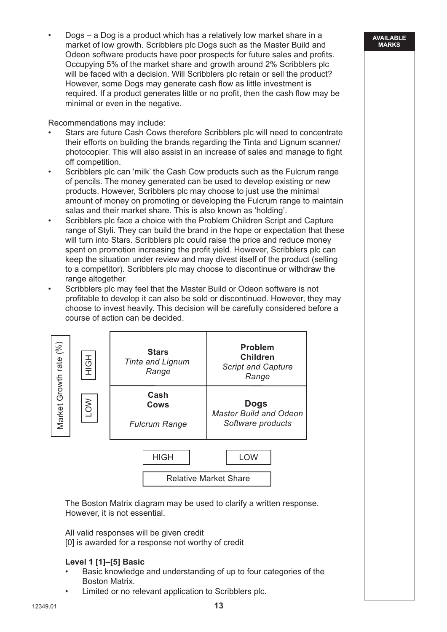• Dogs – a Dog is a product which has a relatively low market share in a market of low growth. Scribblers plc Dogs such as the Master Build and Odeon software products have poor prospects for future sales and profits. Occupying 5% of the market share and growth around 2% Scribblers plc will be faced with a decision. Will Scribblers plc retain or sell the product? However, some Dogs may generate cash flow as little investment is required. If a product generates little or no profit, then the cash flow may be minimal or even in the negative.

**AVAILABLE MARKS**

Recommendations may include:

- Stars are future Cash Cows therefore Scribblers plc will need to concentrate their efforts on building the brands regarding the Tinta and Lignum scanner/ photocopier. This will also assist in an increase of sales and manage to fight off competition.
- Scribblers plc can 'milk' the Cash Cow products such as the Fulcrum range of pencils. The money generated can be used to develop existing or new products. However, Scribblers plc may choose to just use the minimal amount of money on promoting or developing the Fulcrum range to maintain salas and their market share. This is also known as 'holding'.
- Scribblers plc face a choice with the Problem Children Script and Capture range of Styli. They can build the brand in the hope or expectation that these will turn into Stars. Scribblers plc could raise the price and reduce money spent on promotion increasing the profit yield. However, Scribblers plc can keep the situation under review and may divest itself of the product (selling to a competitor). Scribblers plc may choose to discontinue or withdraw the range altogether.
- Scribblers plc may feel that the Master Build or Odeon software is not profitable to develop it can also be sold or discontinued. However, they may choose to invest heavily. This decision will be carefully considered before a course of action can be decided.

| Market Growth rate (%) | HOH        | <b>Stars</b><br><b>Tinta and Lignum</b><br>Range | <b>Problem</b><br><b>Children</b><br><b>Script and Capture</b><br>Range |  |
|------------------------|------------|--------------------------------------------------|-------------------------------------------------------------------------|--|
|                        | <b>NOT</b> | Cash<br><b>Cows</b><br><b>Fulcrum Range</b>      | <b>Dogs</b><br><b>Master Build and Odeon</b><br>Software products       |  |
|                        |            | <b>HIGH</b>                                      | <b>LOW</b><br><b>Relative Market Share</b>                              |  |

 The Boston Matrix diagram may be used to clarify a written response. However, it is not essential.

 All valid responses will be given credit [0] is awarded for a response not worthy of credit

# **Level 1 [1]–[5] Basic**

- Basic knowledge and understanding of up to four categories of the Boston Matrix.
- Limited or no relevant application to Scribblers plc.